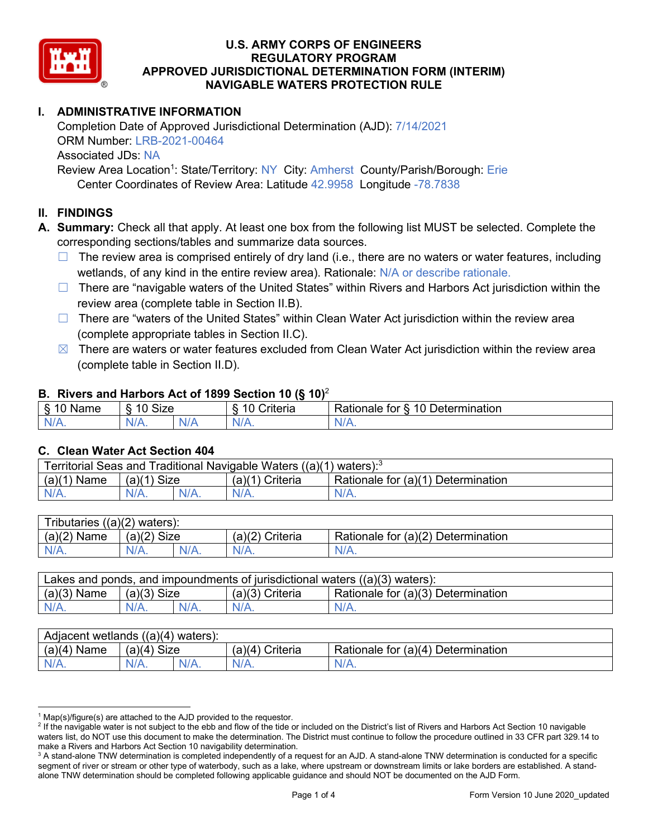

# **I. ADMINISTRATIVE INFORMATION**

Completion Date of Approved Jurisdictional Determination (AJD): 7/14/2021 ORM Number: LRB-2021-00464 Associated JDs: NA Review Area Location<sup>1</sup>: State/Territory: NY\_City: Amherst\_County/Parish/Borough: Erie

Center Coordinates of Review Area: Latitude 42.9958 Longitude -78.7838

## **II. FINDINGS**

**A. Summary:** Check all that apply. At least one box from the following list MUST be selected. Complete the corresponding sections/tables and summarize data sources.

- $\Box$  The review area is comprised entirely of dry land (i.e., there are no waters or water features, including wetlands, of any kind in the entire review area). Rationale: N/A or describe rationale.
- $\Box$  There are "navigable waters of the United States" within Rivers and Harbors Act jurisdiction within the review area (complete table in Section II.B).
- $\Box$  There are "waters of the United States" within Clean Water Act jurisdiction within the review area (complete appropriate tables in Section II.C).
- $\boxtimes$  There are waters or water features excluded from Clean Water Act jurisdiction within the review area (complete table in Section II.D).

#### **B. Rivers and Harbors Act of 1899 Section 10 (§ 10)**<sup>2</sup>

| $\cdot$                          |                        |     |                                           |                                                                                |  |  |  |  |
|----------------------------------|------------------------|-----|-------------------------------------------|--------------------------------------------------------------------------------|--|--|--|--|
| я<br><b></b><br>'vame'<br>υ<br>ູ | Size<br>$\overline{A}$ |     | $\overline{A}$ $\overline{C}$<br>`rıterıa | $\overline{\phantom{a}}$<br>10<br>Jetermination<br>$\sim$<br>tor<br>kationale: |  |  |  |  |
| N/L                              | "<br>'V/A.             | NIA | N/L<br>97 / TV                            | 11 A<br>w.<br>11 L                                                             |  |  |  |  |

#### **C. Clean Water Act Section 404**

| Territorial Seas and Traditional Navigable Waters ((a)(1)<br>waters): $3$ |                |  |                   |                                    |  |  |  |
|---------------------------------------------------------------------------|----------------|--|-------------------|------------------------------------|--|--|--|
| (a)(1)<br>Name                                                            | Size<br>(a)(1) |  | $(a)(1)$ Criteria | Rationale for (a)(1) Determination |  |  |  |
|                                                                           | N/A.           |  | $N/A$ .           | $N/A$ .                            |  |  |  |

| Tributaries<br>$((a)(2)$ waters): |                       |         |                    |                                    |  |  |  |
|-----------------------------------|-----------------------|---------|--------------------|------------------------------------|--|--|--|
| (a)(2)<br>Name                    | (a)(2)<br><b>Size</b> |         | (a)(2)<br>Criteria | Rationale for (a)(2) Determination |  |  |  |
| $N/A$ .                           | N/A.                  | $N/A$ . | $N/A$ .            | N/A.                               |  |  |  |

| Lakes and ponds, and impoundments of jurisdictional waters $((a)(3)$ waters): |               |  |                   |                                    |  |  |
|-------------------------------------------------------------------------------|---------------|--|-------------------|------------------------------------|--|--|
| $(a)(3)$ Name                                                                 | $(a)(3)$ Size |  | $(a)(3)$ Criteria | Rationale for (a)(3) Determination |  |  |
| $N/A$ .                                                                       | $N/A$ .       |  | $N/A$ .           | $N/A$ .                            |  |  |

| Adjacent wetlands<br>$((a)(4)$ waters): |                       |         |                   |                                    |  |  |  |
|-----------------------------------------|-----------------------|---------|-------------------|------------------------------------|--|--|--|
| (a)(4)<br>Name                          | (a)(4)<br><b>Size</b> |         | (a)(4<br>Criteria | Rationale for (a)(4) Determination |  |  |  |
| N/A.                                    | N/A.                  | $N/A$ . | $N/A$ .           | $N/A$ .                            |  |  |  |

 $1$  Map(s)/figure(s) are attached to the AJD provided to the requestor.

<sup>&</sup>lt;sup>2</sup> If the navigable water is not subject to the ebb and flow of the tide or included on the District's list of Rivers and Harbors Act Section 10 navigable waters list, do NOT use this document to make the determination. The District must continue to follow the procedure outlined in 33 CFR part 329.14 to make a Rivers and Harbors Act Section 10 navigability determination.

<sup>&</sup>lt;sup>3</sup> A stand-alone TNW determination is completed independently of a request for an AJD. A stand-alone TNW determination is conducted for a specific segment of river or stream or other type of waterbody, such as a lake, where upstream or downstream limits or lake borders are established. A standalone TNW determination should be completed following applicable guidance and should NOT be documented on the AJD Form.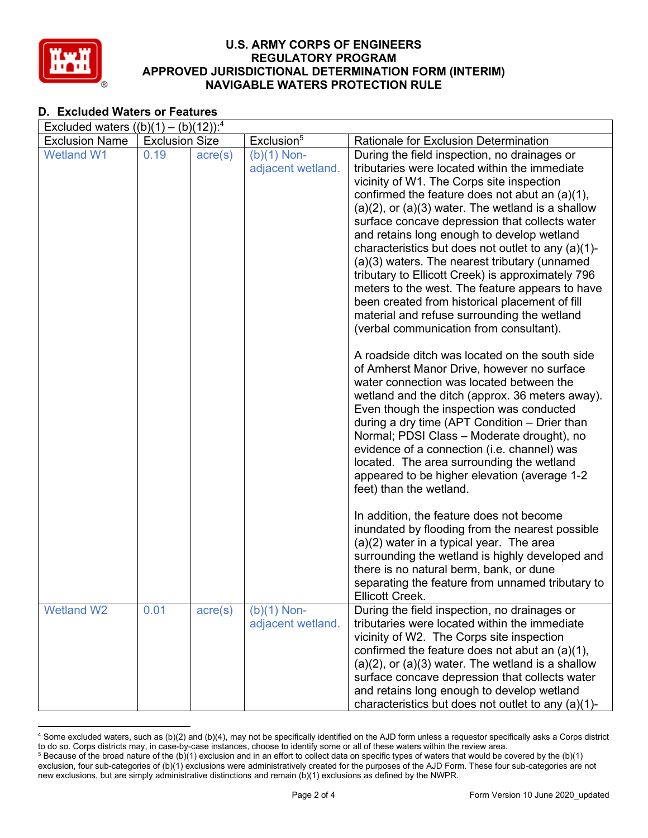

## **D. Excluded Waters or Features**

| Excluded waters $((b)(1) - (b)(12))$ : <sup>4</sup> |                       |                  |                                    |                                                                                                                                                                                                                                                                                                                                                                                                                                                                                                                                                                                                                                                                                                                                                                                                                      |  |  |  |  |
|-----------------------------------------------------|-----------------------|------------------|------------------------------------|----------------------------------------------------------------------------------------------------------------------------------------------------------------------------------------------------------------------------------------------------------------------------------------------------------------------------------------------------------------------------------------------------------------------------------------------------------------------------------------------------------------------------------------------------------------------------------------------------------------------------------------------------------------------------------------------------------------------------------------------------------------------------------------------------------------------|--|--|--|--|
| <b>Exclusion Name</b>                               | <b>Exclusion Size</b> |                  | Exclusion <sup>5</sup>             | Rationale for Exclusion Determination                                                                                                                                                                                                                                                                                                                                                                                                                                                                                                                                                                                                                                                                                                                                                                                |  |  |  |  |
| <b>Wetland W1</b>                                   | 0.19                  | $\text{acre}(s)$ | $(b)(1)$ Non-<br>adjacent wetland. | During the field inspection, no drainages or<br>tributaries were located within the immediate<br>vicinity of W1. The Corps site inspection<br>confirmed the feature does not abut an $(a)(1)$ ,<br>$(a)(2)$ , or $(a)(3)$ water. The wetland is a shallow<br>surface concave depression that collects water<br>and retains long enough to develop wetland<br>characteristics but does not outlet to any (a)(1)-<br>(a)(3) waters. The nearest tributary (unnamed<br>tributary to Ellicott Creek) is approximately 796<br>meters to the west. The feature appears to have<br>been created from historical placement of fill<br>material and refuse surrounding the wetland<br>(verbal communication from consultant).<br>A roadside ditch was located on the south side<br>of Amherst Manor Drive, however no surface |  |  |  |  |
|                                                     |                       |                  |                                    | water connection was located between the<br>wetland and the ditch (approx. 36 meters away).<br>Even though the inspection was conducted<br>during a dry time (APT Condition – Drier than<br>Normal; PDSI Class - Moderate drought), no<br>evidence of a connection (i.e. channel) was<br>located. The area surrounding the wetland<br>appeared to be higher elevation (average 1-2<br>feet) than the wetland.                                                                                                                                                                                                                                                                                                                                                                                                        |  |  |  |  |
|                                                     |                       |                  |                                    | In addition, the feature does not become<br>inundated by flooding from the nearest possible<br>$(a)(2)$ water in a typical year. The area<br>surrounding the wetland is highly developed and<br>there is no natural berm, bank, or dune<br>separating the feature from unnamed tributary to<br>Ellicott Creek.                                                                                                                                                                                                                                                                                                                                                                                                                                                                                                       |  |  |  |  |
| <b>Wetland W2</b>                                   | 0.01                  | $\text{acre}(s)$ | $(b)(1)$ Non-<br>adjacent wetland. | During the field inspection, no drainages or<br>tributaries were located within the immediate<br>vicinity of W2. The Corps site inspection<br>confirmed the feature does not abut an $(a)(1)$ ,<br>$(a)(2)$ , or $(a)(3)$ water. The wetland is a shallow<br>surface concave depression that collects water<br>and retains long enough to develop wetland<br>characteristics but does not outlet to any (a)(1)-                                                                                                                                                                                                                                                                                                                                                                                                      |  |  |  |  |

<sup>4</sup> Some excluded waters, such as (b)(2) and (b)(4), may not be specifically identified on the AJD form unless a requestor specifically asks a Corps district to do so. Corps districts may, in case-by-case instances, choose to identify some or all of these waters within the review area.  $5$  Because of the broad nature of the (b)(1) exclusion and in an effort to collect data on specific types of waters that would be covered by the (b)(1)

exclusion, four sub-categories of (b)(1) exclusions were administratively created for the purposes of the AJD Form. These four sub-categories are not new exclusions, but are simply administrative distinctions and remain (b)(1) exclusions as defined by the NWPR.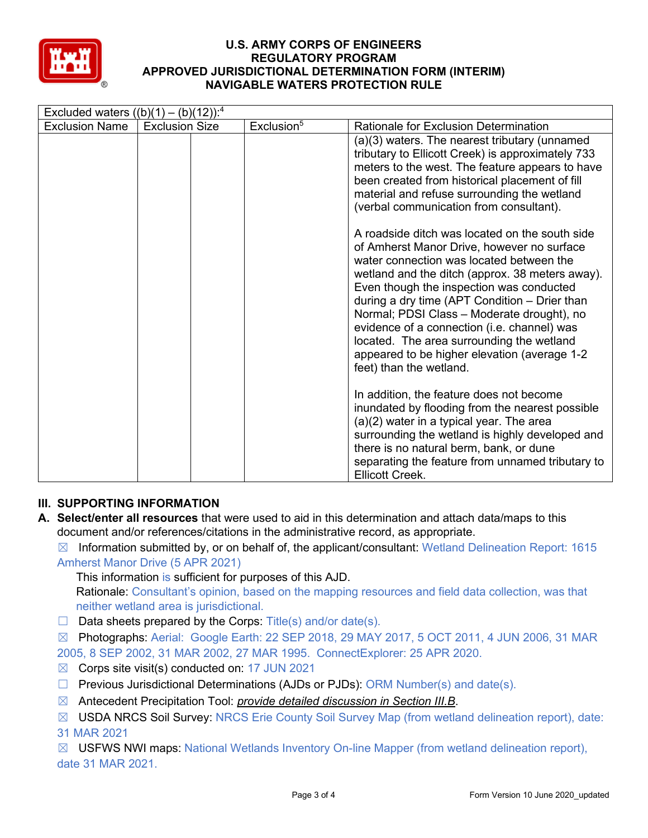

| Excluded waters $((b)(1) - (b)(12))$ : <sup>4</sup> |                       |                        |                                                                                                                                                                                                                                                                                                                                                                                                                                                                                                               |  |  |  |  |  |
|-----------------------------------------------------|-----------------------|------------------------|---------------------------------------------------------------------------------------------------------------------------------------------------------------------------------------------------------------------------------------------------------------------------------------------------------------------------------------------------------------------------------------------------------------------------------------------------------------------------------------------------------------|--|--|--|--|--|
| <b>Exclusion Name</b>                               | <b>Exclusion Size</b> | Exclusion <sup>5</sup> | Rationale for Exclusion Determination                                                                                                                                                                                                                                                                                                                                                                                                                                                                         |  |  |  |  |  |
|                                                     |                       |                        | (a)(3) waters. The nearest tributary (unnamed<br>tributary to Ellicott Creek) is approximately 733<br>meters to the west. The feature appears to have<br>been created from historical placement of fill<br>material and refuse surrounding the wetland<br>(verbal communication from consultant).                                                                                                                                                                                                             |  |  |  |  |  |
|                                                     |                       |                        | A roadside ditch was located on the south side<br>of Amherst Manor Drive, however no surface<br>water connection was located between the<br>wetland and the ditch (approx. 38 meters away).<br>Even though the inspection was conducted<br>during a dry time (APT Condition – Drier than<br>Normal; PDSI Class - Moderate drought), no<br>evidence of a connection (i.e. channel) was<br>located. The area surrounding the wetland<br>appeared to be higher elevation (average 1-2<br>feet) than the wetland. |  |  |  |  |  |
|                                                     |                       |                        | In addition, the feature does not become<br>inundated by flooding from the nearest possible<br>$(a)(2)$ water in a typical year. The area<br>surrounding the wetland is highly developed and<br>there is no natural berm, bank, or dune<br>separating the feature from unnamed tributary to<br><b>Ellicott Creek.</b>                                                                                                                                                                                         |  |  |  |  |  |

# **III. SUPPORTING INFORMATION**

- **A. Select/enter all resources** that were used to aid in this determination and attach data/maps to this document and/or references/citations in the administrative record, as appropriate.
	- $\boxtimes$  Information submitted by, or on behalf of, the applicant/consultant: Wetland Delineation Report: 1615 Amherst Manor Drive (5 APR 2021)

This information is sufficient for purposes of this AJD.

Rationale: Consultant's opinion, based on the mapping resources and field data collection, was that neither wetland area is jurisdictional.

- $\Box$  Data sheets prepared by the Corps: Title(s) and/or date(s).
- $\boxtimes$  Photographs: Aerial: Google Earth: 22 SEP 2018, 29 MAY 2017, 5 OCT 2011, 4 JUN 2006, 31 MAR 2005, 8 SEP 2002, 31 MAR 2002, 27 MAR 1995. ConnectExplorer: 25 APR 2020.
- $\boxtimes$  Corps site visit(s) conducted on: 17 JUN 2021
- $\Box$  Previous Jurisdictional Determinations (AJDs or PJDs): ORM Number(s) and date(s).
- ☒ Antecedent Precipitation Tool: *provide detailed discussion in Section III.B*.
- ☒ USDA NRCS Soil Survey: NRCS Erie County Soil Survey Map (from wetland delineation report), date: 31 MAR 2021

 $\boxtimes$  USFWS NWI maps: National Wetlands Inventory On-line Mapper (from wetland delineation report), date 31 MAR 2021.